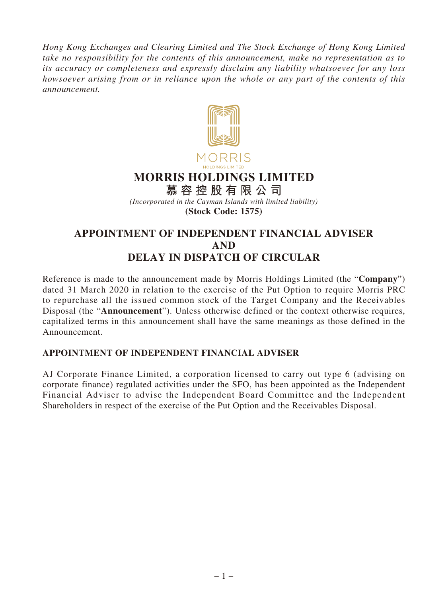*Hong Kong Exchanges and Clearing Limited and The Stock Exchange of Hong Kong Limited take no responsibility for the contents of this announcement, make no representation as to its accuracy or completeness and expressly disclaim any liability whatsoever for any loss howsoever arising from or in reliance upon the whole or any part of the contents of this announcement.*



**MORRIS HOLDINGS LIMITED**

**慕容控股有限公司** *(Incorporated in the Cayman Islands with limited liability)* **(Stock Code: 1575)**

## **APPOINTMENT OF INDEPENDENT FINANCIAL ADVISER AND DELAY IN DISPATCH OF CIRCULAR**

Reference is made to the announcement made by Morris Holdings Limited (the "**Company**") dated 31 March 2020 in relation to the exercise of the Put Option to require Morris PRC to repurchase all the issued common stock of the Target Company and the Receivables Disposal (the "**Announcement**"). Unless otherwise defined or the context otherwise requires, capitalized terms in this announcement shall have the same meanings as those defined in the Announcement.

## **APPOINTMENT OF INDEPENDENT FINANCIAL ADVISER**

AJ Corporate Finance Limited, a corporation licensed to carry out type 6 (advising on corporate finance) regulated activities under the SFO, has been appointed as the Independent Financial Adviser to advise the Independent Board Committee and the Independent Shareholders in respect of the exercise of the Put Option and the Receivables Disposal.